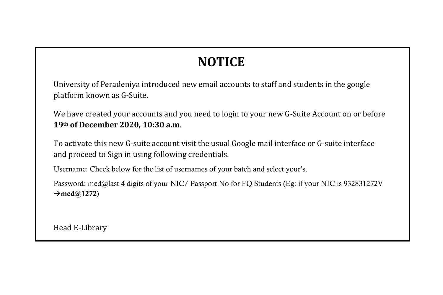## **NOTICE**

University of Peradeniya introduced new email accounts to staff and students in the google platform known as G-Suite.

We have created your accounts and you need to login to your new G-Suite Account on or before **19th of December 2020, 10:30 a.m**.

To activate this new G-suite account visit the usual Google mail interface or G-suite interface and proceed to Sign in using following credentials.

Username: Check below for the list of usernames of your batch and select your's.

Password: med@last 4 digits of your NIC/ Passport No for FQ Students (Eg: if your NIC is 932831272V  $\rightarrow$ med@1272)

Head E-Library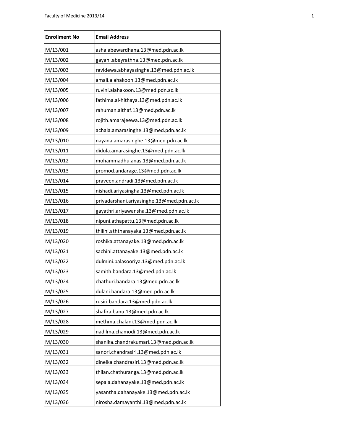| <b>Enrollment No</b> | <b>Email Address</b>                       |
|----------------------|--------------------------------------------|
| M/13/001             | asha.abewardhana.13@med.pdn.ac.lk          |
| M/13/002             | gayani.abeyrathna.13@med.pdn.ac.lk         |
| M/13/003             | ravidewa.abhayasinghe.13@med.pdn.ac.lk     |
| M/13/004             | amali.alahakoon.13@med.pdn.ac.lk           |
| M/13/005             | ruvini.alahakoon.13@med.pdn.ac.lk          |
| M/13/006             | fathima.al-hithaya.13@med.pdn.ac.lk        |
| M/13/007             | rahuman.althaf.13@med.pdn.ac.lk            |
| M/13/008             | rojith.amarajeewa.13@med.pdn.ac.lk         |
| M/13/009             | achala.amarasinghe.13@med.pdn.ac.lk        |
| M/13/010             | nayana.amarasinghe.13@med.pdn.ac.lk        |
| M/13/011             | didula.amarasinghe.13@med.pdn.ac.lk        |
| M/13/012             | mohammadhu.anas.13@med.pdn.ac.lk           |
| M/13/013             | promod.andarage.13@med.pdn.ac.lk           |
| M/13/014             | praveen.andradi.13@med.pdn.ac.lk           |
| M/13/015             | nishadi.ariyasingha.13@med.pdn.ac.lk       |
| M/13/016             | priyadarshani.ariyasinghe.13@med.pdn.ac.lk |
| M/13/017             | gayathri.ariyawansha.13@med.pdn.ac.lk      |
| M/13/018             | nipuni.athapattu.13@med.pdn.ac.lk          |
| M/13/019             | thilini.aththanayaka.13@med.pdn.ac.lk      |
| M/13/020             | roshika.attanayake.13@med.pdn.ac.lk        |
| M/13/021             | sachini.attanayake.13@med.pdn.ac.lk        |
| M/13/022             | dulmini.balasooriya.13@med.pdn.ac.lk       |
| M/13/023             | samith.bandara.13@med.pdn.ac.lk            |
| M/13/024             | chathuri.bandara.13@med.pdn.ac.lk          |
| M/13/025             | dulani.bandara.13@med.pdn.ac.lk            |
| M/13/026             | rusiri.bandara.13@med.pdn.ac.lk            |
| M/13/027             | shafira.banu.13@med.pdn.ac.lk              |
| M/13/028             | methma.chalani.13@med.pdn.ac.lk            |
| M/13/029             | nadilma.chamodi.13@med.pdn.ac.lk           |
| M/13/030             | shanika.chandrakumari.13@med.pdn.ac.lk     |
| M/13/031             | sanori.chandrasiri.13@med.pdn.ac.lk        |
| M/13/032             | dinelka.chandrasiri.13@med.pdn.ac.lk       |
| M/13/033             | thilan.chathuranga.13@med.pdn.ac.lk        |
| M/13/034             | sepala.dahanayake.13@med.pdn.ac.lk         |
| M/13/035             | yasantha.dahanayake.13@med.pdn.ac.lk       |
| M/13/036             | nirosha.damayanthi.13@med.pdn.ac.lk        |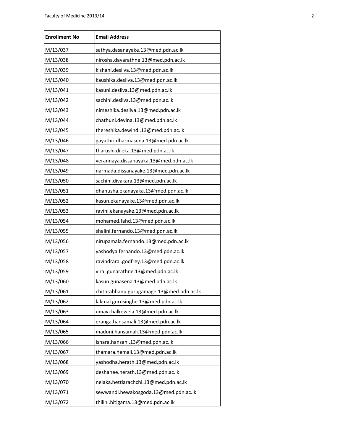| <b>Enrollment No</b> | <b>Email Address</b>                     |
|----------------------|------------------------------------------|
| M/13/037             | sathya.dasanayake.13@med.pdn.ac.lk       |
| M/13/038             | nirosha.dayarathne.13@med.pdn.ac.lk      |
| M/13/039             | kishani.desilva.13@med.pdn.ac.lk         |
| M/13/040             | kaushika.desilva.13@med.pdn.ac.lk        |
| M/13/041             | kasuni.desilva.13@med.pdn.ac.lk          |
| M/13/042             | sachini.desilva.13@med.pdn.ac.lk         |
| M/13/043             | nimeshika.desilva.13@med.pdn.ac.lk       |
| M/13/044             | chathuni.devina.13@med.pdn.ac.lk         |
| M/13/045             | thereshika.dewindi.13@med.pdn.ac.lk      |
| M/13/046             | gayathri.dharmasena.13@med.pdn.ac.lk     |
| M/13/047             | tharushi.dileka.13@med.pdn.ac.lk         |
| M/13/048             | verannaya.dissanayaka.13@med.pdn.ac.lk   |
| M/13/049             | narmada.dissanayake.13@med.pdn.ac.lk     |
| M/13/050             | sachini.divakara.13@med.pdn.ac.lk        |
| M/13/051             | dhanusha.ekanayaka.13@med.pdn.ac.lk      |
| M/13/052             | kasun.ekanayake.13@med.pdn.ac.lk         |
| M/13/053             | ravini.ekanayake.13@med.pdn.ac.lk        |
| M/13/054             | mohamed.fahd.13@med.pdn.ac.lk            |
| M/13/055             | shalini.fernando.13@med.pdn.ac.lk        |
| M/13/056             | nirupamala.fernando.13@med.pdn.ac.lk     |
| M/13/057             | yashodya.fernando.13@med.pdn.ac.lk       |
| M/13/058             | ravindraraj.godfrey.13@med.pdn.ac.lk     |
| M/13/059             | viraj.gunarathne.13@med.pdn.ac.lk        |
| M/13/060             | kasun.gunasena.13@med.pdn.ac.lk          |
| M/13/061             | chithrabhanu.gurugamage.13@med.pdn.ac.lk |
| M/13/062             | lakmal.gurusinghe.13@med.pdn.ac.lk       |
| M/13/063             | umavi.halkewela.13@med.pdn.ac.lk         |
| M/13/064             | eranga.hansamali.13@med.pdn.ac.lk        |
| M/13/065             | maduni.hansamali.13@med.pdn.ac.lk        |
| M/13/066             | ishara.hansani.13@med.pdn.ac.lk          |
| M/13/067             | thamara.hemali.13@med.pdn.ac.lk          |
| M/13/068             | yashodha.herath.13@med.pdn.ac.lk         |
| M/13/069             | deshanee.herath.13@med.pdn.ac.lk         |
| M/13/070             | nelaka.hettiarachchi.13@med.pdn.ac.lk    |
| M/13/071             | sewwandi.hewakosgoda.13@med.pdn.ac.lk    |
| M/13/072             | thilini.hitigama.13@med.pdn.ac.lk        |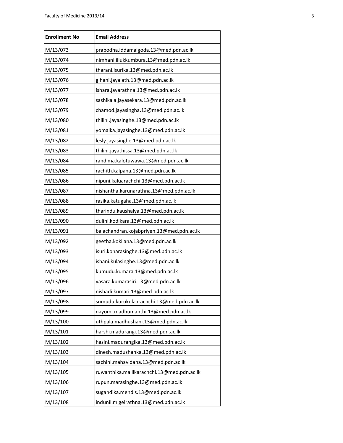| <b>Enrollment No</b> | <b>Email Address</b>                       |
|----------------------|--------------------------------------------|
| M/13/073             | prabodha.iddamalgoda.13@med.pdn.ac.lk      |
| M/13/074             | nimhani.illukkumbura.13@med.pdn.ac.lk      |
| M/13/075             | tharani.isurika.13@med.pdn.ac.lk           |
| M/13/076             | gihani.jayalath.13@med.pdn.ac.lk           |
| M/13/077             | ishara.jayarathna.13@med.pdn.ac.lk         |
| M/13/078             | sashikala.jayasekara.13@med.pdn.ac.lk      |
| M/13/079             | chamod.jayasingha.13@med.pdn.ac.lk         |
| M/13/080             | thilini.jayasinghe.13@med.pdn.ac.lk        |
| M/13/081             | yomalka.jayasinghe.13@med.pdn.ac.lk        |
| M/13/082             | lesly.jayasinghe.13@med.pdn.ac.lk          |
| M/13/083             | thilini.jayathissa.13@med.pdn.ac.lk        |
| M/13/084             | randima.kalotuwawa.13@med.pdn.ac.lk        |
| M/13/085             | rachith.kalpana.13@med.pdn.ac.lk           |
| M/13/086             | nipuni.kaluarachchi.13@med.pdn.ac.lk       |
| M/13/087             | nishantha.karunarathna.13@med.pdn.ac.lk    |
| M/13/088             | rasika.katugaha.13@med.pdn.ac.lk           |
| M/13/089             | tharindu.kaushalya.13@med.pdn.ac.lk        |
| M/13/090             | dulini.kodikara.13@med.pdn.ac.lk           |
| M/13/091             | balachandran.kojabpriyen.13@med.pdn.ac.lk  |
| M/13/092             | geetha.kokilana.13@med.pdn.ac.lk           |
| M/13/093             | isuri.konarasinghe.13@med.pdn.ac.lk        |
| M/13/094             | ishani.kulasinghe.13@med.pdn.ac.lk         |
| M/13/095             | kumudu.kumara.13@med.pdn.ac.lk             |
| M/13/096             | yasara.kumarasiri.13@med.pdn.ac.lk         |
| M/13/097             | nishadi.kumari.13@med.pdn.ac.lk            |
| M/13/098             | sumudu.kurukulaarachchi.13@med.pdn.ac.lk   |
| M/13/099             | nayomi.madhumanthi.13@med.pdn.ac.lk        |
| M/13/100             | uthpala.madhushani.13@med.pdn.ac.lk        |
| M/13/101             | harshi.madurangi.13@med.pdn.ac.lk          |
| M/13/102             | hasini.madurangika.13@med.pdn.ac.lk        |
| M/13/103             | dinesh.madushanka.13@med.pdn.ac.lk         |
| M/13/104             | sachini.mahavidana.13@med.pdn.ac.lk        |
| M/13/105             | ruwanthika.mallikarachchi.13@med.pdn.ac.lk |
| M/13/106             | rupun.marasinghe.13@med.pdn.ac.lk          |
| M/13/107             | sugandika.mendis.13@med.pdn.ac.lk          |
| M/13/108             | indunil.migelrathna.13@med.pdn.ac.lk       |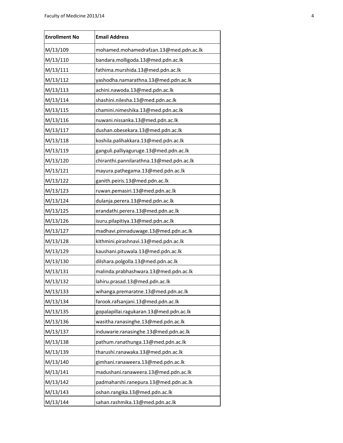| <b>Enrollment No</b> | <b>Email Address</b>                     |
|----------------------|------------------------------------------|
| M/13/109             | mohamed.mohamedrafzan.13@med.pdn.ac.lk   |
| M/13/110             | bandara.molligoda.13@med.pdn.ac.lk       |
| M/13/111             | fathima.murshida.13@med.pdn.ac.lk        |
| M/13/112             | yashodha.namarathna.13@med.pdn.ac.lk     |
| M/13/113             | achini.nawoda.13@med.pdn.ac.lk           |
| M/13/114             | shashini.nilesha.13@med.pdn.ac.lk        |
| M/13/115             | chamini.nimeshika.13@med.pdn.ac.lk       |
| M/13/116             | nuwani.nissanka.13@med.pdn.ac.lk         |
| M/13/117             | dushan.obesekara.13@med.pdn.ac.lk        |
| M/13/118             | koshila.palihakkara.13@med.pdn.ac.lk     |
| M/13/119             | ganguli.palliyaguruge.13@med.pdn.ac.lk   |
| M/13/120             | chiranthi.pannilarathna.13@med.pdn.ac.lk |
| M/13/121             | mayura.pathegama.13@med.pdn.ac.lk        |
| M/13/122             | ganith.peiris.13@med.pdn.ac.lk           |
| M/13/123             | ruwan.pemasiri.13@med.pdn.ac.lk          |
| M/13/124             | dulanja.perera.13@med.pdn.ac.lk          |
| M/13/125             | erandathi.perera.13@med.pdn.ac.lk        |
| M/13/126             | isuru.pilapitiya.13@med.pdn.ac.lk        |
| M/13/127             | madhavi.pinnaduwage.13@med.pdn.ac.lk     |
| M/13/128             | kithmini.pirashnavi.13@med.pdn.ac.lk     |
| M/13/129             | kaushani.pituwala.13@med.pdn.ac.lk       |
| M/13/130             | dilshara.polgolla.13@med.pdn.ac.lk       |
| M/13/131             | malinda.prabhashwara.13@med.pdn.ac.lk    |
| M/13/132             | lahiru.prasad.13@med.pdn.ac.lk           |
| M/13/133             | wihanga.premaratne.13@med.pdn.ac.lk      |
| M/13/134             | farook.rafsanjani.13@med.pdn.ac.lk       |
| M/13/135             | gopalapillai.ragukaran.13@med.pdn.ac.lk  |
| M/13/136             | wasitha.ranasinghe.13@med.pdn.ac.lk      |
| M/13/137             | induwarie.ranasinghe.13@med.pdn.ac.lk    |
| M/13/138             | pathum.ranathunga.13@med.pdn.ac.lk       |
| M/13/139             | tharushi.ranawaka.13@med.pdn.ac.lk       |
| M/13/140             | gimhani.ranaweera.13@med.pdn.ac.lk       |
| M/13/141             | madushani.ranaweera.13@med.pdn.ac.lk     |
| M/13/142             | padmaharshi.ranepura.13@med.pdn.ac.lk    |
| M/13/143             | oshan.rangika.13@med.pdn.ac.lk           |
| M/13/144             | sahan.rashmika.13@med.pdn.ac.lk          |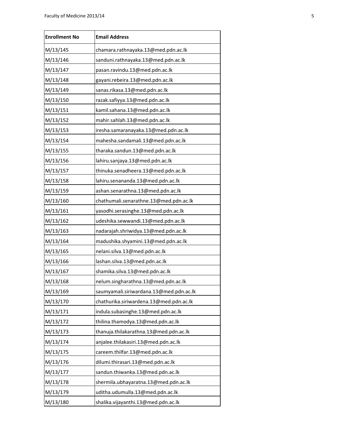| <b>Enrollment No</b> | <b>Email Address</b>                    |
|----------------------|-----------------------------------------|
| M/13/145             | chamara.rathnayaka.13@med.pdn.ac.lk     |
| M/13/146             | sanduni.rathnayaka.13@med.pdn.ac.lk     |
| M/13/147             | pasan.ravindu.13@med.pdn.ac.lk          |
| M/13/148             | gayani.rebeira.13@med.pdn.ac.lk         |
| M/13/149             | sanas.rikasa.13@med.pdn.ac.lk           |
| M/13/150             | razak.safiyya.13@med.pdn.ac.lk          |
| M/13/151             | kamil.sahana.13@med.pdn.ac.lk           |
| M/13/152             | mahir.sahlah.13@med.pdn.ac.lk           |
| M/13/153             | iresha.samaranayaka.13@med.pdn.ac.lk    |
| M/13/154             | mahesha.sandamali.13@med.pdn.ac.lk      |
| M/13/155             | tharaka.sandun.13@med.pdn.ac.lk         |
| M/13/156             | lahiru.sanjaya.13@med.pdn.ac.lk         |
| M/13/157             | thinuka.senadheera.13@med.pdn.ac.lk     |
| M/13/158             | lahiru.senananda.13@med.pdn.ac.lk       |
| M/13/159             | ashan.senarathna.13@med.pdn.ac.lk       |
| M/13/160             | chathumali.senarathne.13@med.pdn.ac.lk  |
| M/13/161             | yasodhi.serasinghe.13@med.pdn.ac.lk     |
| M/13/162             | udeshika.sewwandi.13@med.pdn.ac.lk      |
| M/13/163             | nadarajah.shriwidya.13@med.pdn.ac.lk    |
| M/13/164             | madushika.shyamini.13@med.pdn.ac.lk     |
| M/13/165             | nelani.silva.13@med.pdn.ac.lk           |
| M/13/166             | lashan.silva.13@med.pdn.ac.lk           |
| M/13/167             | shamika.silva.13@med.pdn.ac.lk          |
| M/13/168             | nelum.singharathna.13@med.pdn.ac.lk     |
| M/13/169             | saumyamali.siriwardana.13@med.pdn.ac.lk |
| M/13/170             | chathurika.siriwardena.13@med.pdn.ac.lk |
| M/13/171             | indula.subasinghe.13@med.pdn.ac.lk      |
| M/13/172             | thilina.thamodya.13@med.pdn.ac.lk       |
| M/13/173             | thanuja.thilakarathna.13@med.pdn.ac.lk  |
| M/13/174             | anjalee.thilakasiri.13@med.pdn.ac.lk    |
| M/13/175             | careem.thilfar.13@med.pdn.ac.lk         |
| M/13/176             | dilumi.thirasari.13@med.pdn.ac.lk       |
| M/13/177             | sandun.thiwanka.13@med.pdn.ac.lk        |
| M/13/178             | shermila.ubhayaratna.13@med.pdn.ac.lk   |
| M/13/179             | uditha.udumulla.13@med.pdn.ac.lk        |
| M/13/180             | shalika.vijayanthi.13@med.pdn.ac.lk     |